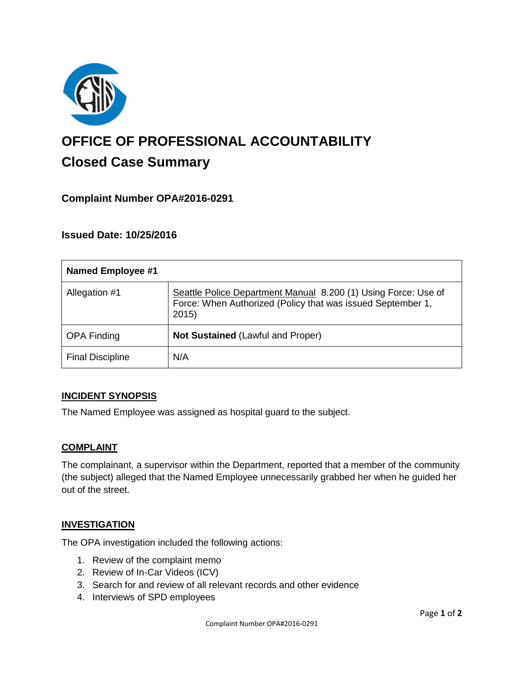

# **OFFICE OF PROFESSIONAL ACCOUNTABILITY Closed Case Summary**

# **Complaint Number OPA#2016-0291**

## **Issued Date: 10/25/2016**

| <b>Named Employee #1</b> |                                                                                                                                        |
|--------------------------|----------------------------------------------------------------------------------------------------------------------------------------|
| Allegation #1            | Seattle Police Department Manual 8.200 (1) Using Force: Use of<br>Force: When Authorized (Policy that was issued September 1,<br>2015) |
| <b>OPA Finding</b>       | <b>Not Sustained (Lawful and Proper)</b>                                                                                               |
| <b>Final Discipline</b>  | N/A                                                                                                                                    |

#### **INCIDENT SYNOPSIS**

The Named Employee was assigned as hospital guard to the subject.

#### **COMPLAINT**

The complainant, a supervisor within the Department, reported that a member of the community (the subject) alleged that the Named Employee unnecessarily grabbed her when he guided her out of the street.

#### **INVESTIGATION**

The OPA investigation included the following actions:

- 1. Review of the complaint memo
- 2. Review of In-Car Videos (ICV)
- 3. Search for and review of all relevant records and other evidence
- 4. Interviews of SPD employees